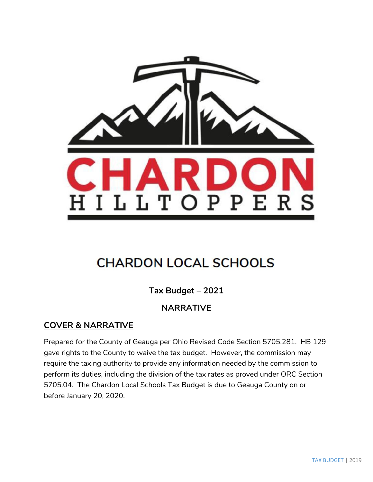

# **CHARDON LOCAL SCHOOLS**

**Tax Budget – 2021**

# **NARRATIVE**

# **COVER & NARRATIVE**

Prepared for the County of Geauga per Ohio Revised Code Section 5705.281. HB 129 gave rights to the County to waive the tax budget. However, the commission may require the taxing authority to provide any information needed by the commission to perform its duties, including the division of the tax rates as proved under ORC Section 5705.04. The Chardon Local Schools Tax Budget is due to Geauga County on or before January 20, 2020.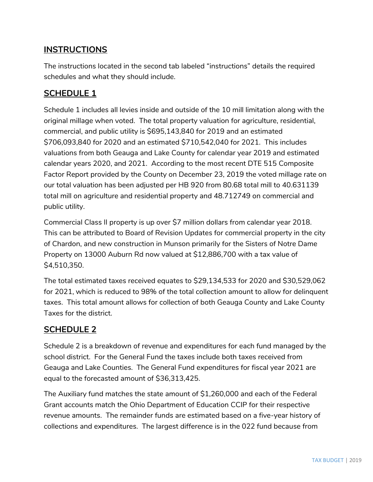# **INSTRUCTIONS**

The instructions located in the second tab labeled "instructions" details the required schedules and what they should include.

# **SCHEDULE 1**

Schedule 1 includes all levies inside and outside of the 10 mill limitation along with the original millage when voted. The total property valuation for agriculture, residential, commercial, and public utility is \$695,143,840 for 2019 and an estimated \$706,093,840 for 2020 and an estimated \$710,542,040 for 2021. This includes valuations from both Geauga and Lake County for calendar year 2019 and estimated calendar years 2020, and 2021. According to the most recent DTE 515 Composite Factor Report provided by the County on December 23, 2019 the voted millage rate on our total valuation has been adjusted per HB 920 from 80.68 total mill to 40.631139 total mill on agriculture and residential property and 48.712749 on commercial and public utility.

Commercial Class II property is up over \$7 million dollars from calendar year 2018. This can be attributed to Board of Revision Updates for commercial property in the city of Chardon, and new construction in Munson primarily for the Sisters of Notre Dame Property on 13000 Auburn Rd now valued at \$12,886,700 with a tax value of \$4,510,350.

The total estimated taxes received equates to \$29,134,533 for 2020 and \$30,529,062 for 2021, which is reduced to 98% of the total collection amount to allow for delinquent taxes. This total amount allows for collection of both Geauga County and Lake County Taxes for the district.

# **SCHEDULE 2**

Schedule 2 is a breakdown of revenue and expenditures for each fund managed by the school district. For the General Fund the taxes include both taxes received from Geauga and Lake Counties. The General Fund expenditures for fiscal year 2021 are equal to the forecasted amount of \$36,313,425.

The Auxiliary fund matches the state amount of \$1,260,000 and each of the Federal Grant accounts match the Ohio Department of Education CCIP for their respective revenue amounts. The remainder funds are estimated based on a five-year history of collections and expenditures. The largest difference is in the 022 fund because from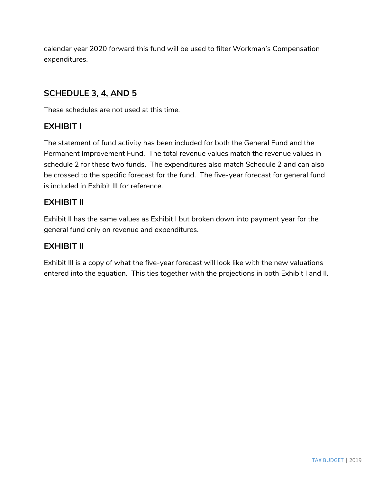calendar year 2020 forward this fund will be used to filter Workman's Compensation expenditures.

# **SCHEDULE 3, 4, AND 5**

These schedules are not used at this time.

# **EXHIBIT I**

The statement of fund activity has been included for both the General Fund and the Permanent Improvement Fund. The total revenue values match the revenue values in schedule 2 for these two funds. The expenditures also match Schedule 2 and can also be crossed to the specific forecast for the fund. The five-year forecast for general fund is included in Exhibit III for reference.

# **EXHIBIT II**

Exhibit II has the same values as Exhibit I but broken down into payment year for the general fund only on revenue and expenditures.

# **EXHIBIT II**

Exhibit III is a copy of what the five-year forecast will look like with the new valuations entered into the equation. This ties together with the projections in both Exhibit I and II.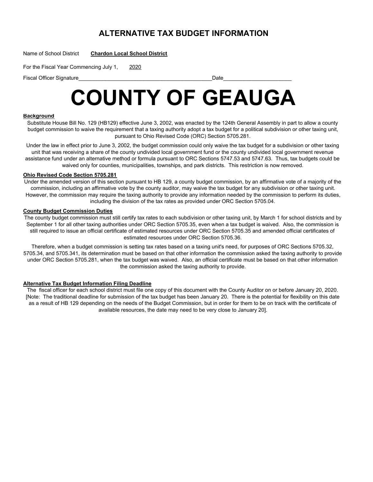# **ALTERNATIVE TAX BUDGET INFORMATION**

Name of School District **Chardon Local School District**

For the Fiscal Year Commencing July 1, 2020

Fiscal Officer Signature et al. 2008 and 2009 and 2009 and 2009 and 2009 and 2009 and 2009 and 2009 and 2009 and 2009 and 2009 and 2009 and 2009 and 2009 and 2009 and 2009 and 2009 and 2009 and 2009 and 2009 and 2009 and 2

# **COUNTY OF GEAUGA**

### **Background**

Substitute House Bill No. 129 (HB129) effective June 3, 2002, was enacted by the 124th General Assembly in part to allow a county budget commission to waive the requirement that a taxing authority adopt a tax budget for a political subdivision or other taxing unit, pursuant to Ohio Revised Code (ORC) Section 5705.281.

Under the law in effect prior to June 3, 2002, the budget commission could only waive the tax budget for a subdivision or other taxing unit that was receiving a share of the county undivided local government fund or the county undivided local government revenue assistance fund under an alternative method or formula pursuant to ORC Sections 5747.53 and 5747.63. Thus, tax budgets could be waived only for counties, municipalities, townships, and park districts. This restriction is now removed.

### **Ohio Revised Code Section 5705.281**

Under the amended version of this section pursuant to HB 129, a county budget commission, by an affirmative vote of a majority of the commission, including an affirmative vote by the county auditor, may waive the tax budget for any subdivision or other taxing unit. However, the commission may require the taxing authority to provide any information needed by the commission to perform its duties, including the division of the tax rates as provided under ORC Section 5705.04.

### **County Budget Commission Duties**

The county budget commission must still certify tax rates to each subdivision or other taxing unit, by March 1 for school districts and by September 1 for all other taxing authorities under ORC Section 5705.35, even when a tax budget is waived. Also, the commission is still required to issue an official certificate of estimated resources under ORC Section 5705.35 and amended official certificates of estimated resources under ORC Section 5705.36.

Therefore, when a budget commission is setting tax rates based on a taxing unit's need, for purposes of ORC Sections 5705.32, 5705.34, and 5705.341, its determination must be based on that other information the commission asked the taxing authority to provide under ORC Section 5705.281, when the tax budget was waived. Also, an official certificate must be based on that other information the commission asked the taxing authority to provide.

### **Alternative Tax Budget Information Filing Deadline**

The fiscal officer for each school district must file one copy of this document with the County Auditor on or before January 20, 2020. [Note: The traditional deadline for submission of the tax budget has been January 20. There is the potential for flexibility on this date as a result of HB 129 depending on the needs of the Budget Commission, but in order for them to be on track with the certificate of available resources, the date may need to be very close to January 20].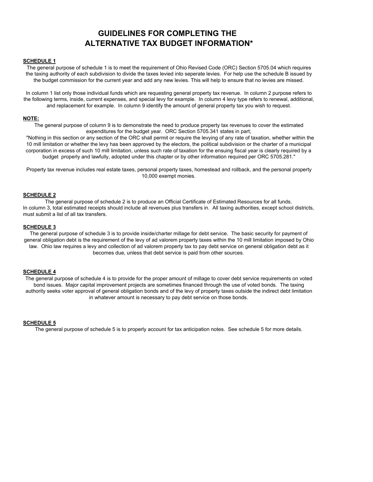# **GUIDELINES FOR COMPLETING THE ALTERNATIVE TAX BUDGET INFORMATION\***

### **SCHEDULE 1**

The general purpose of schedule 1 is to meet the requirement of Ohio Revised Code (ORC) Section 5705.04 which requires the taxing authority of each subdivision to divide the taxes levied into seperate levies. For help use the schedule B issued by the budget commission for the current year and add any new levies. This will help to ensure that no levies are missed.

In column 1 list only those individual funds which are requesting general property tax revenue. In column 2 purpose refers to the following terms, inside, current expenses, and special levy for example. In column 4 levy type refers to renewal, additional, and replacement for example. In column 9 identify the amount of general property tax you wish to request.

#### **NOTE:**

The general purpose of column 9 is to demonstrate the need to produce property tax revenues to cover the estimated expenditures for the budget year. ORC Section 5705.341 states in part;

 "Nothing in this section or any section of the ORC shall permit or require the levying of any rate of taxation, whether within the 10 mill limitation or whether the levy has been approved by the electors, the political subdivision or the charter of a municipal corporation in excess of such 10 mill limitation, unless such rate of taxation for the ensuing fiscal year is clearly required by a budget properly and lawfully, adopted under this chapter or by other information required per ORC 5705.281."

Property tax revenue includes real estate taxes, personal property taxes, homestead and rollback, and the personal property 10,000 exempt monies.

### **SCHEDULE 2**

The general purpose of schedule 2 is to produce an Official Certificate of Estimated Resources for all funds. In column 3, total estimated receipts should include all revenues plus transfers in. All taxing authorities, except school districts, must submit a list of all tax transfers.

### **SCHEDULE 3**

The general purpose of schedule 3 is to provide inside/charter millage for debt service. The basic security for payment of general obligation debt is the requirement of the levy of ad valorem property taxes within the 10 mill limitation imposed by Ohio law. Ohio law requires a levy and collection of ad valorem property tax to pay debt service on general obligation debt as it becomes due, unless that debt service is paid from other sources.

### **SCHEDULE 4**

The general purpose of schedule 4 is to provide for the proper amount of millage to cover debt service requirements on voted bond issues. Major capital improvement projects are sometimes financed through the use of voted bonds. The taxing authority seeks voter approval of general obligation bonds and of the levy of property taxes outside the indirect debt limitation in whatever amount is necessary to pay debt service on those bonds.

#### **SCHEDULE 5**

The general purpose of schedule 5 is to properly account for tax anticipation notes. See schedule 5 for more details.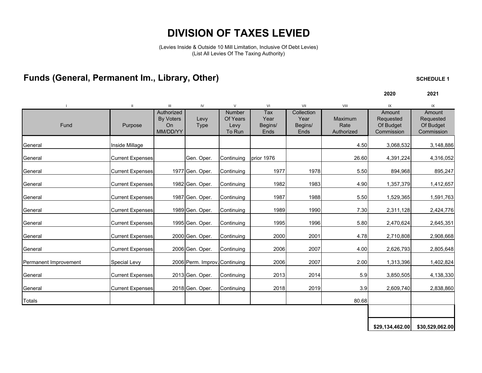# **DIVISION OF TAXES LEVIED**

(Levies Inside & Outside 10 Mill Limitation, Inclusive Of Debt Levies) (List All Levies Of The Taxing Authority)

# Funds (General, Permanent Im., Library, Other) **SCHEDULE 1** SCHEDULE 1

**2020 2021**

|                       |                         | Ш                                                | IV                            | $\vee$                                      | VI                             | VII                                   | VIII                          | IX                                             | IX                                             |
|-----------------------|-------------------------|--------------------------------------------------|-------------------------------|---------------------------------------------|--------------------------------|---------------------------------------|-------------------------------|------------------------------------------------|------------------------------------------------|
| Fund                  | Purpose                 | Authorized<br><b>By Voters</b><br>On<br>MM/DD/YY | Levy<br><b>Type</b>           | <b>Number</b><br>Of Years<br>Levy<br>To Run | Tax<br>Year<br>Begins/<br>Ends | Collection<br>Year<br>Begins/<br>Ends | Maximum<br>Rate<br>Authorized | Amount<br>Requested<br>Of Budget<br>Commission | Amount<br>Requested<br>Of Budget<br>Commission |
| General               | Inside Millage          |                                                  |                               |                                             |                                |                                       | 4.50                          | 3,068,532                                      | 3,148,886                                      |
| General               | <b>Current Expenses</b> |                                                  | Gen. Oper.                    | Continuing                                  | prior 1976                     |                                       | 26.60                         | 4,391,224                                      | 4,316,052                                      |
| General               | <b>Current Expenses</b> |                                                  | 1977 Gen. Oper.               | Continuing                                  | 1977                           | 1978                                  | 5.50                          | 894,968                                        | 895,247                                        |
| General               | <b>Current Expenses</b> |                                                  | 1982 Gen. Oper.               | Continuing                                  | 1982                           | 1983                                  | 4.90                          | 1,357,379                                      | 1,412,657                                      |
| General               | <b>Current Expenses</b> |                                                  | 1987 Gen. Oper.               | Continuing                                  | 1987                           | 1988                                  | 5.50                          | 1,529,365                                      | 1,591,763                                      |
| General               | <b>Current Expenses</b> |                                                  | 1989 Gen. Oper.               | Continuing                                  | 1989                           | 1990                                  | 7.30                          | 2,311,128                                      | 2,424,776                                      |
| General               | <b>Current Expenses</b> |                                                  | 1995 Gen. Oper.               | Continuing                                  | 1995                           | 1996                                  | 5.80                          | 2,470,624                                      | 2,645,351                                      |
| General               | <b>Current Expenses</b> |                                                  | 2000 Gen. Oper.               | Continuing                                  | 2000                           | 2001                                  | 4.78                          | 2,710,808                                      | 2,908,668                                      |
| General               | <b>Current Expenses</b> |                                                  | 2006 Gen. Oper.               | Continuing                                  | 2006                           | 2007                                  | 4.00                          | 2,626,793                                      | 2,805,648                                      |
| Permanent Improvement | <b>Special Levy</b>     |                                                  | 2006 Perm. Improv. Continuing |                                             | 2006                           | 2007                                  | 2.00                          | 1,313,396                                      | 1,402,824                                      |
| General               | <b>Current Expenses</b> |                                                  | 2013 Gen. Oper.               | Continuing                                  | 2013                           | 2014                                  | 5.9                           | 3,850,505                                      | 4,138,330                                      |
| General               | <b>Current Expenses</b> |                                                  | 2018 Gen. Oper.               | Continuing                                  | 2018                           | 2019                                  | 3.9                           | 2,609,740                                      | 2,838,860                                      |
| <b>Totals</b>         |                         |                                                  |                               |                                             |                                |                                       | 80.68                         |                                                |                                                |
|                       |                         |                                                  |                               |                                             |                                |                                       |                               |                                                |                                                |

**\$29,134,462.00 \$30,529,062.00**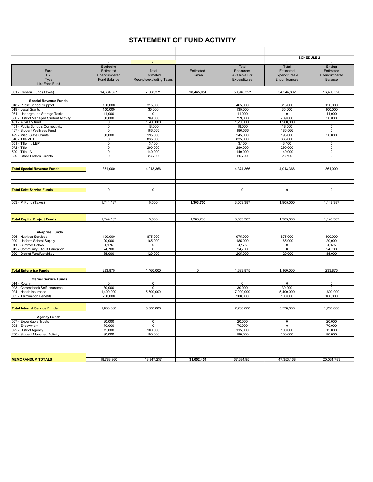|                                         |                                                        | <b>STATEMENT OF FUND ACTIVITY</b> |                           |                                            |                                                      |                                           |
|-----------------------------------------|--------------------------------------------------------|-----------------------------------|---------------------------|--------------------------------------------|------------------------------------------------------|-------------------------------------------|
|                                         |                                                        |                                   |                           |                                            |                                                      | <b>SCHEDULE 2</b>                         |
|                                         |                                                        |                                   |                           |                                            |                                                      |                                           |
| $\blacksquare$<br>Fund<br>BY            | $\mathbf{H}$<br>Beginning<br>Estimated<br>Unencumbered | $\rm III$<br>Total<br>Estimated   | Estimated<br><b>Taxes</b> | Total<br>Resources<br><b>Available For</b> | $\mathsf{v}$<br>Total<br>Estimated<br>Expenditures & | VI<br>Ending<br>Estimated<br>Unencumbered |
| Type<br>List Each Fund                  | <b>Fund Balance</b>                                    | Receipts/excluding Taxes          |                           | Expenditures                               | Encumbrances                                         | Balance                                   |
|                                         |                                                        |                                   |                           |                                            |                                                      |                                           |
| 001 - General Fund (Taxes)              | 14,634,897                                             | 7,868,371                         | 28,445,054                | 50,948,322                                 | 34,544,802                                           | 16,403,520                                |
| <b>Special Revenue Funds</b>            |                                                        |                                   |                           |                                            |                                                      |                                           |
| 018 - Public School Support             | 150,000                                                | 315,000                           |                           | 465,000                                    | 315,000                                              | 150,000                                   |
| 019 - Local Grants                      | 100,000                                                | 35,000                            |                           | 135,000                                    | 35,000                                               | 100,000                                   |
| 031 - Underground Storage Tanks         | 11,000                                                 | $\overline{0}$                    |                           | 11,000                                     | $\overline{0}$                                       | 11,000                                    |
| 300 - District Managed Student Activity | 50,000                                                 | 709,000                           |                           | 759,000                                    | 709,000                                              | 50,000                                    |
| 401 - Auxiliary fund                    | 0                                                      | 1,260,000                         |                           | 1,260,000                                  | 1,260,000                                            | 0                                         |
| 451 - Public Schools Connectivity       | $\mathbf 0$                                            | 18,000                            |                           | 18,000                                     | 18,000                                               | $\overline{0}$                            |
|                                         |                                                        |                                   |                           |                                            |                                                      |                                           |
| 467 - Student Wellness Fund             | 0                                                      | 186,566                           |                           | 186,566                                    | 186,566                                              | $\pmb{0}$                                 |
| 499 - Misc. State Grants                | 50,000                                                 | 195,000                           |                           | 245,000                                    | 195,000                                              | 50,000                                    |
| 516 - Title VI B                        | 0                                                      | 835,000                           |                           | 835,000                                    | 835,000                                              | 0                                         |
| 551 - Title III / LEP                   | $\mathsf 0$                                            | 3,100                             |                           | 3,100                                      | 3,100                                                | $\pmb{0}$                                 |
| 572 - Title I                           | 0                                                      | 290,000                           |                           | 290,000                                    | 290,000                                              | $\mathsf 0$                               |
| 590 - Title IIA                         | $\mathsf 0$                                            | 140,000                           |                           | 140,000                                    | 140,000                                              | $\pmb{0}$                                 |
| 599 - Other Federal Grants              | $\mathsf 0$                                            | 26,700                            |                           | 26,700                                     | 26,700                                               | $\pmb{0}$                                 |
|                                         |                                                        |                                   |                           |                                            |                                                      |                                           |
| <b>Total Special Revenue Funds</b>      | 361,000                                                | 4,013,366                         |                           | 4,374,366                                  | 4,013,366                                            | 361,000                                   |
|                                         |                                                        |                                   |                           |                                            |                                                      |                                           |
|                                         |                                                        |                                   |                           |                                            |                                                      |                                           |
| <b>Total Debt Service Funds</b>         | $\overline{0}$                                         | $\overline{0}$                    |                           | $\overline{0}$                             | $\mathbf 0$                                          | $\overline{0}$                            |
|                                         |                                                        |                                   |                           |                                            |                                                      |                                           |
| 003 - PI Fund (Taxes)                   | 1,744,187                                              | 5,500                             | 1,303,700                 | 3,053,387                                  | 1,905,000                                            | 1,148,387                                 |
|                                         |                                                        |                                   |                           |                                            |                                                      |                                           |
| <b>Total Capital Project Funds</b>      | 1,744,187                                              | 5,500                             | 1,303,700                 | 3,053,387                                  | 1,905,000                                            | 1,148,387                                 |
|                                         |                                                        |                                   |                           |                                            |                                                      |                                           |
| <b>Enterprise Funds</b>                 |                                                        |                                   |                           |                                            |                                                      |                                           |
| 006 - Nutrition Services                | 100,000                                                | 875,000                           |                           | 975,000                                    | 875,000                                              | 100,000                                   |
| 009 - Uniform School Supply             | 20,000                                                 | 165,000                           |                           | 185,000                                    | 165,000                                              | 20,000                                    |
| 011 - Summer School                     | 4,175                                                  | 0                                 |                           | 4,175                                      | $\mathsf 0$                                          | 4,175                                     |
| 012 - Community / Adult Education       | 24,700                                                 | $\mathsf 0$                       |                           | 24,700                                     | $\mathbf 0$                                          | 24,700                                    |
| 020 - District Fund/Latchkey            | 85,000                                                 | 120,000                           |                           | 205,000                                    | 120,000                                              | 85,000                                    |
|                                         |                                                        |                                   |                           |                                            |                                                      |                                           |
| <b>Total Enterprise Funds</b>           | 233,875                                                | 1,160,000                         | $\mathbf 0$               | 1,393,875                                  | 1,160,000                                            | 233,875                                   |
|                                         |                                                        |                                   |                           |                                            |                                                      |                                           |
| <b>Internal Service Funds</b>           |                                                        |                                   |                           |                                            |                                                      |                                           |
| 014 - Rotary                            | $\mathbf 0$                                            | $\mathsf 0$                       |                           | $\mathsf 0$                                | $\mathsf 0$                                          | 0                                         |
| 023 - Chromebook Self Insurance         | 30,000                                                 | $\mathbf 0$                       |                           | 30,000                                     | 30,000                                               | 0                                         |
| 024 - Health Insurance                  | 1,400,000                                              | 5,600,000                         |                           | 7,000,000                                  | 5,400,000                                            | 1,600,000                                 |
| 035 - Termination Benefits              | 200,000                                                | $\mathbf 0$                       |                           | 200,000                                    | 100,000                                              | 100,000                                   |
|                                         |                                                        |                                   |                           |                                            |                                                      |                                           |
| <b>Total Internal Service Funds</b>     | 1,630,000                                              | 5,600,000                         |                           | 7,230,000                                  | 5,530,000                                            | 1,700,000                                 |
|                                         |                                                        |                                   |                           |                                            |                                                      |                                           |
| <b>Agency Funds</b>                     |                                                        |                                   |                           |                                            |                                                      |                                           |
| 007 - Expendable Trusts                 | 20,000                                                 | $\pmb{0}$                         |                           | 20,000                                     | $\pmb{0}$                                            | 20,000                                    |
| 008 - Endowment                         | 70,000                                                 | $\pmb{0}$                         |                           | 70,000                                     | $\mathsf 0$                                          | 70,000                                    |
| 022 - District Agency                   | 15,000                                                 | 100,000                           |                           | 115,000                                    | 100,000                                              | 15,000                                    |
| 200 - Student Managed Activity          | 80,000                                                 | 100,000                           |                           | 180,000                                    | 100,000                                              | 80,000                                    |
|                                         |                                                        |                                   |                           |                                            |                                                      |                                           |
|                                         |                                                        |                                   |                           |                                            |                                                      |                                           |
|                                         |                                                        |                                   |                           |                                            |                                                      |                                           |
| <b>MEMORANDUM TOTALS</b>                | 18,788,960                                             | 18,847,237                        | 31,052,454                | 67,384,951                                 | 47,353,168                                           | 20,031,783                                |
|                                         |                                                        |                                   |                           |                                            |                                                      |                                           |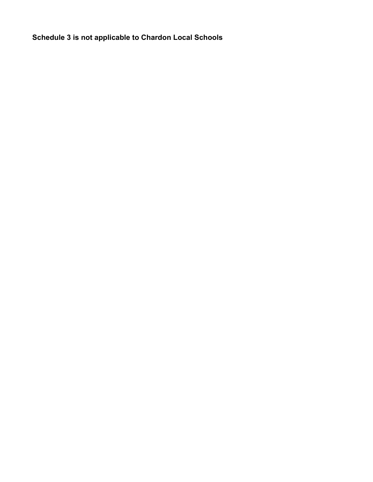**Schedule 3 is not applicable to Chardon Local Schools**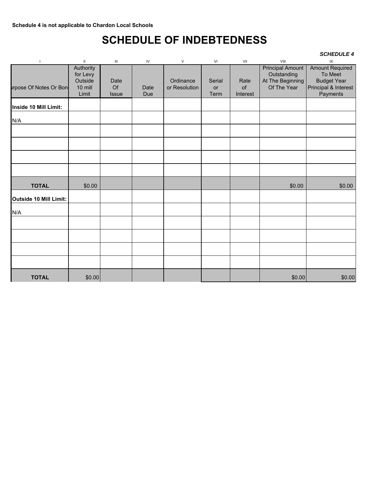# **SCHEDULE OF INDEBTEDNESS**

### *SCHEDULE 4*

| $\overline{\phantom{a}}$      | $\ensuremath{\mathsf{II}}$ | $\mathbf{III}$ | IV          | $\vee$                     | VI         | VII        | VIII                            | $\sf IX$                         |
|-------------------------------|----------------------------|----------------|-------------|----------------------------|------------|------------|---------------------------------|----------------------------------|
|                               | Authority                  |                |             |                            |            |            | <b>Principal Amount</b>         | <b>Amount Required</b>           |
|                               | for Levy                   |                |             |                            |            |            | Outstanding                     | To Meet                          |
|                               | Outside                    | Date<br>Of     |             | Ordinance<br>or Resolution | Serial     | Rate<br>of | At The Beginning<br>Of The Year | <b>Budget Year</b>               |
| <b>Irpose Of Notes Or Bon</b> | 10 mill<br>Limit           | <b>Issue</b>   | Date<br>Due |                            | or<br>Term | Interest   |                                 | Principal & Interest<br>Payments |
|                               |                            |                |             |                            |            |            |                                 |                                  |
| Inside 10 Mill Limit:         |                            |                |             |                            |            |            |                                 |                                  |
| N/A                           |                            |                |             |                            |            |            |                                 |                                  |
|                               |                            |                |             |                            |            |            |                                 |                                  |
|                               |                            |                |             |                            |            |            |                                 |                                  |
|                               |                            |                |             |                            |            |            |                                 |                                  |
|                               |                            |                |             |                            |            |            |                                 |                                  |
|                               |                            |                |             |                            |            |            |                                 |                                  |
| <b>TOTAL</b>                  | \$0.00                     |                |             |                            |            |            | \$0.00                          | \$0.00                           |
| Outside 10 Mill Limit:        |                            |                |             |                            |            |            |                                 |                                  |
| N/A                           |                            |                |             |                            |            |            |                                 |                                  |
|                               |                            |                |             |                            |            |            |                                 |                                  |
|                               |                            |                |             |                            |            |            |                                 |                                  |
|                               |                            |                |             |                            |            |            |                                 |                                  |
|                               |                            |                |             |                            |            |            |                                 |                                  |
| <b>TOTAL</b>                  | \$0.00                     |                |             |                            |            |            | \$0.00                          | \$0.00                           |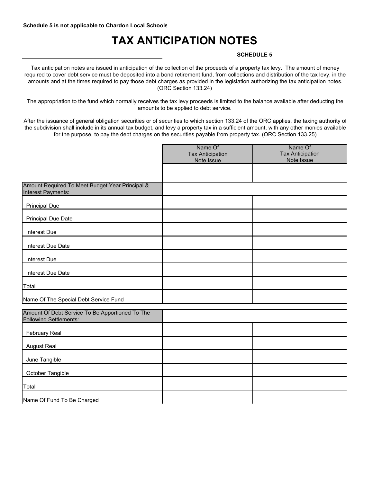# **TAX ANTICIPATION NOTES**

### **SCHEDULE 5**

Tax anticipation notes are issued in anticipation of the collection of the proceeds of a property tax levy. The amount of money required to cover debt service must be deposited into a bond retirement fund, from collections and distribution of the tax levy, in the amounts and at the times required to pay those debt charges as provided in the legislation authorizing the tax anticipation notes. (ORC Section 133.24)

The appropriation to the fund which normally receives the tax levy proceeds is limited to the balance available after deducting the amounts to be applied to debt service.

After the issuance of general obligation securities or of securities to which section 133.24 of the ORC applies, the taxing authority of the subdivision shall include in its annual tax budget, and levy a property tax in a sufficient amount, with any other monies available for the purpose, to pay the debt charges on the securities payable from property tax. (ORC Section 133.25)

|                                                                                  | Name Of<br><b>Tax Anticipation</b><br>Note Issue | Name Of<br><b>Tax Anticipation</b><br>Note Issue |
|----------------------------------------------------------------------------------|--------------------------------------------------|--------------------------------------------------|
|                                                                                  |                                                  |                                                  |
| Amount Required To Meet Budget Year Principal &<br>Interest Payments:            |                                                  |                                                  |
| <b>Principal Due</b>                                                             |                                                  |                                                  |
| <b>Principal Due Date</b>                                                        |                                                  |                                                  |
| Interest Due                                                                     |                                                  |                                                  |
| Interest Due Date                                                                |                                                  |                                                  |
| Interest Due                                                                     |                                                  |                                                  |
| Interest Due Date                                                                |                                                  |                                                  |
| Total                                                                            |                                                  |                                                  |
| Name Of The Special Debt Service Fund                                            |                                                  |                                                  |
| Amount Of Debt Service To Be Apportioned To The<br><b>Following Settlements:</b> |                                                  |                                                  |
| <b>February Real</b>                                                             |                                                  |                                                  |
| August Real                                                                      |                                                  |                                                  |
| June Tangible                                                                    |                                                  |                                                  |
| October Tangible                                                                 |                                                  |                                                  |
| Total                                                                            |                                                  |                                                  |
| Name Of Fund To Be Charged                                                       |                                                  |                                                  |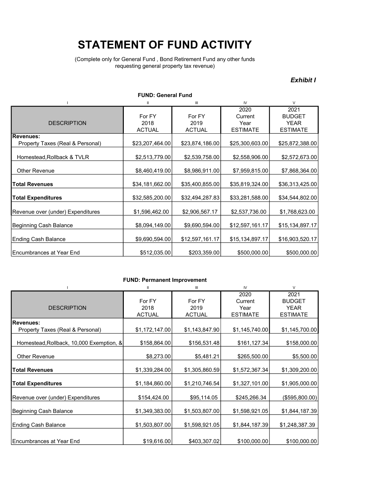# STATEMENT OF FUND ACTIVITY

(Complete only for General Fund , Bond Retirement Fund any other funds requesting general property tax revenue)

### Exhibit I

|                                               | <b>FUND: General Fund</b>       |                                 |                                            |                                                         |
|-----------------------------------------------|---------------------------------|---------------------------------|--------------------------------------------|---------------------------------------------------------|
|                                               | Ш                               | Ш                               | IV                                         | V                                                       |
| <b>DESCRIPTION</b>                            | For FY<br>2018<br><b>ACTUAL</b> | For FY<br>2019<br><b>ACTUAL</b> | 2020<br>Current<br>Year<br><b>ESTIMATE</b> | 2021<br><b>BUDGET</b><br><b>YEAR</b><br><b>ESTIMATE</b> |
| Revenues:<br>Property Taxes (Real & Personal) | \$23,207,464.00                 | \$23,874,186.00                 | \$25,300,603.00                            | \$25,872,388.00                                         |
| Homestead, Rollback & TVLR                    | \$2,513,779.00                  | \$2,539,758.00                  | \$2,558,906.00                             | \$2,572,673.00                                          |
| Other Revenue                                 | \$8,460,419.00                  | \$8,986,911.00                  | \$7,959,815.00                             | \$7,868,364.00                                          |
| <b>Total Revenues</b>                         | \$34,181,662.00                 | \$35,400,855.00                 | \$35,819,324.00                            | \$36,313,425.00                                         |
| <b>Total Expenditures</b>                     | \$32,585,200.00                 | \$32,494,287.83                 | \$33,281,588.00                            | \$34,544,802.00                                         |
| Revenue over (under) Expenditures             | \$1,596,462.00                  | \$2,906,567.17                  | \$2,537,736.00                             | \$1,768,623.00                                          |
| Beginning Cash Balance                        | \$8,094,149.00                  | \$9,690,594.00                  | \$12,597,161.17                            | \$15,134,897.17                                         |
| <b>Ending Cash Balance</b>                    | \$9,690,594.00                  | \$12,597,161.17                 | \$15,134,897.17                            | \$16,903,520.17                                         |
| Encumbrances at Year End                      | \$512,035.00                    | \$203,359.00                    | \$500,000.00                               | \$500,000.00                                            |

### FUND: Permanent Improvement

|                                          | Ш              | $\mathbf{III}$ | IV              | $\vee$          |
|------------------------------------------|----------------|----------------|-----------------|-----------------|
|                                          |                |                | 2020            | 2021            |
|                                          | For FY         | For FY         | Current         | <b>BUDGET</b>   |
| <b>DESCRIPTION</b>                       | 2018           | 2019           | Year            | <b>YEAR</b>     |
|                                          | <b>ACTUAL</b>  | <b>ACTUAL</b>  | <b>ESTIMATE</b> | <b>ESTIMATE</b> |
| <b>Revenues:</b>                         |                |                |                 |                 |
| Property Taxes (Real & Personal)         | \$1,172,147.00 | \$1,143,847.90 | \$1,145,740.00  | \$1,145,700.00  |
| Homestead, Rollback, 10,000 Exemption, & | \$158,864.00   | \$156,531.48   | \$161, 127.34   | \$158,000.00    |
|                                          |                |                |                 |                 |
| <b>Other Revenue</b>                     | \$8,273.00     | \$5,481.21     | \$265,500.00    | \$5,500.00      |
|                                          |                |                |                 |                 |
| <b>Total Revenues</b>                    | \$1,339,284.00 | \$1,305,860.59 | \$1,572,367.34  | \$1,309,200.00  |
| <b>Total Expenditures</b>                | \$1,184,860.00 | \$1,210,746.54 | \$1,327,101.00  | \$1,905,000.00  |
|                                          |                |                |                 |                 |
| Revenue over (under) Expenditures        | \$154,424.00   | \$95,114.05    | \$245,266.34    | (\$595,800.00)  |
|                                          |                |                |                 |                 |
| Beginning Cash Balance                   | \$1,349,383.00 | \$1,503,807.00 | \$1,598,921.05  | \$1,844,187.39  |
|                                          |                |                |                 |                 |
| Ending Cash Balance                      | \$1,503,807.00 | \$1,598,921.05 | \$1,844,187.39  | \$1,248,387.39  |
|                                          |                |                |                 |                 |
| Encumbrances at Year End                 | \$19,616.00    | \$403,307.02   | \$100,000.00    | \$100,000.00    |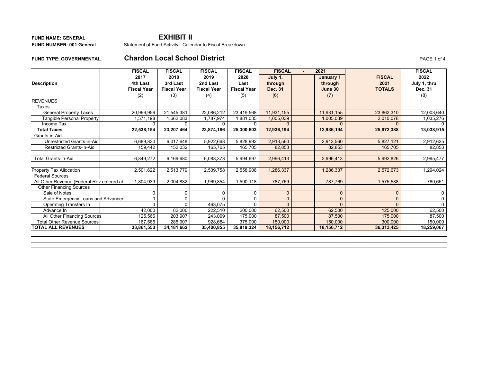### **FUND NAME: GENERALFUND NUMBER: 001 General**

### **EXHIBIT II**

Statement of Fund Activity - Calendar to Fiscal Breakdown

**FUND TYPE: GOVERNMENTAL**

### **Chardon Local School District PAGE 1 of 4**

|                                           |  | <b>FISCAL</b>      | <b>FISCAL</b>      | <b>FISCAL</b>      | <b>FISCAL</b>      | <b>FISCAL</b>  | 2021<br>$\overline{\phantom{0}}$ |          |               | <b>FISCAL</b> |
|-------------------------------------------|--|--------------------|--------------------|--------------------|--------------------|----------------|----------------------------------|----------|---------------|---------------|
|                                           |  | 2017               | 2018               | 2019               | 2020               | July 1,        | January 1                        |          | <b>FISCAL</b> | 2022          |
| <b>Description</b>                        |  | 4th Last           | 3rd Last           | 2nd Last           | Last               | through        | through                          |          | 2021          | July 1, thru  |
|                                           |  | <b>Fiscal Year</b> | <b>Fiscal Year</b> | <b>Fiscal Year</b> | <b>Fiscal Year</b> | <b>Dec. 31</b> | June 30                          |          | <b>TOTALS</b> | Dec. 31       |
|                                           |  | (2)                | (3)                | (4)                | (5)                | (6)            | (7)                              |          |               | (8)           |
| <b>REVENUES</b>                           |  |                    |                    |                    |                    |                |                                  |          |               |               |
| Taxes                                     |  |                    |                    |                    |                    |                |                                  |          |               |               |
| <b>General Property Taxes</b>             |  | 20,966,956         | 21,545,381         | 22,086,212         | 23,419,568         | 11,931,155     | 11,931,155                       |          | 23,862,310    | 12,003,640    |
| <b>Tangible Personal Property</b>         |  | 1,571,198          | 1,662,083          | 1,787,974          | 1,881,035          | 1,005,039      | 1,005,039                        |          | 2,010,078     | 1,035,276     |
| Income Tax                                |  | <sup>n</sup>       |                    |                    | $\Omega$           |                |                                  |          |               |               |
| <b>Total Taxes</b>                        |  | 22,538,154         | 23,207,464         | 23,874,186         | 25,300,603         | 12,936,194     | 12,936,194                       |          | 25,872,388    | 13,038,915    |
| Grants-in-Aid                             |  |                    |                    |                    |                    |                |                                  |          |               |               |
| Unrestricted Grants-in-Aid                |  | 6,689,830          | 6,017,648          | 5,922,668          | 5,828,992          | 2,913,560      | 2,913,560                        |          | 5,827,121     | 2,912,625     |
| Restricted Grants-in-Aid                  |  | 159,442            | 152,032            | 165,705            | 165,705            | 82,853         | 82,853                           |          | 165,705       | 82,853        |
|                                           |  |                    |                    |                    |                    |                |                                  |          |               |               |
| Total Grants-in-Aid                       |  | 6,849,272          | 6,169,680          | 6,088,373          | 5,994,697          | 2,996,413      | 2,996,413                        |          | 5,992,826     | 2,995,477     |
|                                           |  |                    |                    |                    |                    |                |                                  |          |               |               |
| Property Tax Allocation                   |  | 2,501,622          | 2,513,779          | 2,539,758          | 2,558,906          | 1,286,337      | 1,286,337                        |          | 2,572,673     | 1,294,024     |
| <b>Federal Sources</b>                    |  |                    |                    |                    |                    |                |                                  |          |               |               |
| All Other Revenue (Federal Rev entered at |  | 1,804,939          | 2,004,832          | 1,969,854          | 1,590,118          | 787,769        | 787,769                          |          | 1,575,538     | 780,651       |
| <b>Other Financing Sources</b>            |  |                    |                    |                    |                    |                |                                  |          |               |               |
| Sale of Notes                             |  | $\Omega$           | 0                  | n                  | $\mathbf 0$        | $\Omega$       |                                  | $\Omega$ | $\Omega$      | $\Omega$      |
| State Emergency Loans and Advancer        |  | $\Omega$           | 0                  |                    | $\mathbf 0$        |                |                                  | $\Omega$ | $\Omega$      | 0             |
| Operating Transfers In                    |  | $\Omega$           |                    | 463,075            | $\Omega$           |                |                                  | $\Omega$ |               | $\Omega$      |
| Advance In                                |  | 42,000             | 82,000             | 222,510            | 200,000            | 62,500         | 62,500                           |          | 125,000       | 62,500        |
| All Other Financing Sources               |  | 125,566            | 203,907            | 243,099            | 175,000            | 87,500         | 87,500                           |          | 175,000       | 87,500        |
| <b>Total Other Revenue Sources</b>        |  | 167,566            | 285,907            | 928,684            | 375,000            | 150,000        | 150,000                          |          | 300,000       | 150,000       |
| <b>TOTAL ALL REVENUES</b>                 |  | 33,861,553         | 34,181,662         | 35,400,855         | 35,819,324         | 18,156,712     | 18,156,712                       |          | 36,313,425    | 18,259,067    |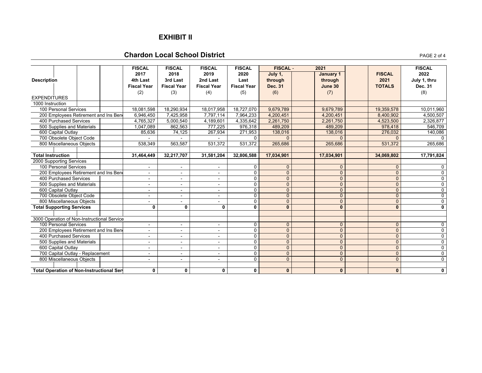### **EXHIBIT II**

### **Chardon Local School District**

|                                                    |  | <b>FISCAL</b>            | <b>FISCAL</b>            | <b>FISCAL</b>            | <b>FISCAL</b>      | <b>FISCAL -</b> | 2021         |                | <b>FISCAL</b>           |
|----------------------------------------------------|--|--------------------------|--------------------------|--------------------------|--------------------|-----------------|--------------|----------------|-------------------------|
|                                                    |  | 2017                     | 2018                     | 2019                     | 2020               | July 1,         | January 1    | <b>FISCAL</b>  | 2022                    |
| <b>Description</b>                                 |  | 4th Last                 | 3rd Last                 | 2nd Last                 | Last               | through         | through      | 2021           | July 1, thru            |
|                                                    |  | <b>Fiscal Year</b>       | <b>Fiscal Year</b>       | <b>Fiscal Year</b>       | <b>Fiscal Year</b> | <b>Dec. 31</b>  | June 30      | <b>TOTALS</b>  | Dec. 31                 |
|                                                    |  | (2)                      | (3)                      | (4)                      | (5)                | (6)             | (7)          |                | (8)                     |
| <b>EXPENDITURES</b>                                |  |                          |                          |                          |                    |                 |              |                |                         |
| 1000 Instruction                                   |  |                          |                          |                          |                    |                 |              |                |                         |
| 100 Personal Services                              |  | 18,081,598               | 18,290,934               | 18,017,958               | 18,727,070         | 9,679,789       | 9,679,789    | 19,359,578     | 10,011,960              |
| 200 Employees Retirement and Ins Ben               |  | 6,946,450                | 7,425,958                | 7,797,114                | 7,964,233          | 4,200,451       | 4,200,451    | 8,400,902      | 4,500,507               |
| 400 Purchased Services                             |  | 4,765,327                | 5,000,540                | 4,189,601                | 4,335,642          | 2,261,750       | 2,261,750    | 4,523,500      | 2,326,877               |
| 500 Supplies and Materials                         |  | 1,047,089                | 862,563                  | 777,225                  | 976,318            | 489,209         | 489,209      | 978,418        | 546,709                 |
| 600 Capital Outlay                                 |  | 85,636                   | 74,125                   | 267,934                  | 271,953            | 138,016         | 138,016      | 276,032        | 140,086                 |
| 700 Obsolete Object Code                           |  |                          |                          |                          | 0                  | $\Omega$        |              |                |                         |
| 800 Miscellaneous Objects                          |  | 538,349                  | 563,587                  | 531,372                  | 531,372            | 265,686         | 265,686      | 531,372        | 265,686                 |
|                                                    |  |                          |                          |                          |                    |                 |              |                |                         |
| <b>Total Instruction</b>                           |  | 31,464,449               | 32,217,707               | 31,581,204               | 32,806,588         | 17,034,901      | 17,034,901   | 34,069,802     | 17,791,824              |
| 2000 Supporting Services                           |  |                          |                          |                          |                    |                 |              |                |                         |
| 100 Personal Services                              |  | $\sim$                   | $\sim$                   |                          | 0                  | $\mathbf{0}$    | $\Omega$     | $\Omega$       | $\mathbf 0$             |
| 200 Employees Retirement and Ins Ben               |  | $\blacksquare$           | ٠                        |                          | $\mathbf 0$        | $\overline{0}$  | $\mathbf{0}$ | $\overline{0}$ | 0                       |
| 400 Purchased Services                             |  |                          |                          |                          | $\mathbf 0$        | $\overline{0}$  | $\mathbf{0}$ | $\mathbf{0}$   | $\mathbf 0$             |
| 500 Supplies and Materials                         |  |                          | ۰                        |                          | 0                  | $\overline{0}$  | $\Omega$     | $\mathbf{0}$   | $\mathbf 0$             |
| 600 Capital Outlay                                 |  |                          | $\blacksquare$           | ÷                        | 0                  | $\overline{0}$  | $\mathbf{0}$ | $\mathbf{0}$   | $\mathbf 0$             |
| 700 Obsolete Object Code                           |  |                          | $\blacksquare$           | ۰                        | $\overline{0}$     | $\overline{0}$  | $\Omega$     | $\overline{0}$ | $\overline{0}$          |
| 800 Miscellaneous Objects                          |  |                          | $\sim$                   | $\overline{\phantom{a}}$ | 0                  | $\overline{0}$  | $\Omega$     | $\overline{0}$ | $\overline{0}$          |
| <b>Total Supporting Services</b>                   |  | $\mathbf{0}$             | $\mathbf{0}$             | 0                        | 0                  | $\mathbf{0}$    | $\mathbf{0}$ | $\mathbf{0}$   | $\overline{\mathbf{0}}$ |
|                                                    |  |                          |                          |                          |                    |                 |              |                |                         |
| 3000 Operation of Non-Instructional Service        |  |                          |                          |                          |                    |                 |              |                |                         |
| 100 Personal Services                              |  | $\sim$                   | $\sim$                   | $\blacksquare$           | 0                  | $\mathbf{0}$    | $\Omega$     | $\mathbf{0}$   | $\overline{0}$          |
| 200 Employees Retirement and Ins Ben               |  | $\sim$                   |                          |                          | 0                  | $\mathbf{0}$    | $\Omega$     | $\overline{0}$ | $\overline{0}$          |
| 400 Purchased Services                             |  |                          |                          |                          | $\Omega$           | $\mathbf{0}$    | $\Omega$     | $\Omega$       | $\overline{0}$          |
| 500 Supplies and Materials                         |  |                          |                          |                          | 0                  | $\mathbf{0}$    | $\Omega$     | $\overline{0}$ | $\overline{0}$          |
| 600 Capital Outlay                                 |  | $\sim$                   | $\overline{\phantom{a}}$ | $\overline{\phantom{a}}$ | $\Omega$           | $\mathbf{0}$    | $\Omega$     | $\Omega$       | $\mathbf 0$             |
| 700 Capital Outlay - Replacement                   |  | $\overline{\phantom{a}}$ | $\blacksquare$           | $\blacksquare$           | 0                  | $\overline{0}$  | $\Omega$     | $\overline{0}$ | $\overline{0}$          |
| 800 Miscellaneous Objects                          |  | $\sim$                   | $\blacksquare$           | $\overline{\phantom{a}}$ | $\Omega$           | $\overline{0}$  | $\Omega$     | $\Omega$       | $\mathbf 0$             |
| <b>Total Operation of Non-Instructional Servan</b> |  | $\mathbf 0$              | 0                        | 0                        | $\mathbf 0$        | $\mathbf{0}$    | $\mathbf{0}$ | $\mathbf{0}$   | $\mathbf 0$             |

PAGE 2 of 4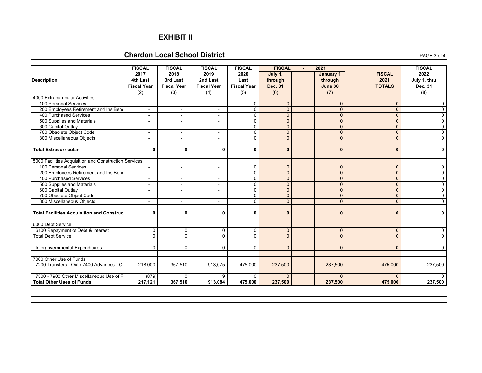### **EXHIBIT II**

### **Chardon Local School District**

| <b>Description</b><br>4000 Extracurricular Activities<br>100 Personal Services | 200 Employees Retirement and Ins Bene<br>400 Purchased Services | <b>FISCAL</b><br>2017<br>4th Last<br><b>Fiscal Year</b><br>(2)<br>$\overline{\phantom{a}}$<br>$\blacksquare$<br>$\overline{\phantom{0}}$ | <b>FISCAL</b><br>2018<br>3rd Last<br><b>Fiscal Year</b><br>(3)<br>$\blacksquare$<br>$\sim$<br>$\blacksquare$ | <b>FISCAL</b><br>2019<br>2nd Last<br><b>Fiscal Year</b><br>(4)<br>$\sim$<br>$\blacksquare$ | <b>FISCAL</b><br>2020<br>Last<br><b>Fiscal Year</b><br>(5)<br>0<br>$\mathbf 0$<br>$\Omega$<br>$\mathbf 0$ | <b>FISCAL</b><br>July 1,<br>through<br><b>Dec. 31</b><br>(6)<br>$\mathbf{0}$<br>$\overline{0}$<br>$\overline{0}$<br>$\overline{0}$ | $\overline{\phantom{a}}$ | 2021<br>January 1<br>through<br>June 30<br>(7)<br>$\Omega$<br>$\Omega$<br>$\Omega$<br>$\Omega$ | <b>FISCAL</b><br>2021<br><b>TOTALS</b><br>$\Omega$<br>$\mathbf{0}$<br>$\mathbf{0}$<br>$\overline{0}$ | <b>FISCAL</b><br>2022<br>July 1, thru<br><b>Dec. 31</b><br>(8)<br>0<br>0<br>$\mathbf 0$ |
|--------------------------------------------------------------------------------|-----------------------------------------------------------------|------------------------------------------------------------------------------------------------------------------------------------------|--------------------------------------------------------------------------------------------------------------|--------------------------------------------------------------------------------------------|-----------------------------------------------------------------------------------------------------------|------------------------------------------------------------------------------------------------------------------------------------|--------------------------|------------------------------------------------------------------------------------------------|------------------------------------------------------------------------------------------------------|-----------------------------------------------------------------------------------------|
| 600 Capital Outlay                                                             | 500 Supplies and Materials                                      | $\blacksquare$<br>$\blacksquare$                                                                                                         | $\sim$<br>$\sim$                                                                                             | $\overline{\phantom{a}}$<br>$\sim$                                                         | $\mathbf{0}$                                                                                              | $\overline{0}$                                                                                                                     |                          | $\Omega$                                                                                       | $\mathbf{0}$                                                                                         | $\mathbf 0$<br>0                                                                        |
|                                                                                | 700 Obsolete Object Code                                        | $\blacksquare$                                                                                                                           | $\sim$                                                                                                       | ٠                                                                                          | $\mathbf 0$                                                                                               | $\overline{0}$                                                                                                                     |                          | $\overline{0}$                                                                                 | $\mathbf{0}$                                                                                         | 0                                                                                       |
|                                                                                | 800 Miscellaneous Objects                                       | $\blacksquare$                                                                                                                           |                                                                                                              | $\sim$                                                                                     | $\mathbf 0$                                                                                               | $\mathbf{0}$                                                                                                                       |                          | $\Omega$                                                                                       | $\overline{0}$                                                                                       | $\mathbf 0$                                                                             |
| <b>Total Extracurricular</b>                                                   |                                                                 | 0                                                                                                                                        | 0                                                                                                            | 0                                                                                          | 0                                                                                                         | $\mathbf{0}$                                                                                                                       |                          | $\mathbf{0}$                                                                                   | $\mathbf{0}$                                                                                         | 0                                                                                       |
|                                                                                | 5000 Facilities Acquisition and Construction Services           |                                                                                                                                          |                                                                                                              |                                                                                            |                                                                                                           |                                                                                                                                    |                          |                                                                                                |                                                                                                      |                                                                                         |
| 100 Personal Services                                                          |                                                                 | $\blacksquare$                                                                                                                           | $\blacksquare$                                                                                               | $\overline{\phantom{a}}$                                                                   | $\Omega$                                                                                                  | $\mathbf{0}$                                                                                                                       |                          | $\Omega$                                                                                       | $\Omega$                                                                                             | $\Omega$                                                                                |
|                                                                                | 200 Employees Retirement and Ins Bene                           | $\overline{\phantom{0}}$                                                                                                                 | $\sim$                                                                                                       | $\sim$                                                                                     | $\mathbf 0$                                                                                               | $\mathbf{0}$                                                                                                                       |                          | $\Omega$                                                                                       | $\overline{0}$                                                                                       | $\mathbf 0$                                                                             |
|                                                                                | 400 Purchased Services                                          | $\blacksquare$                                                                                                                           | $\sim$                                                                                                       | $\overline{\phantom{a}}$                                                                   | $\mathbf 0$                                                                                               | $\mathbf{0}$                                                                                                                       |                          | $\mathbf{0}$                                                                                   | $\mathbf{0}$                                                                                         | $\mathbf 0$                                                                             |
|                                                                                | 500 Supplies and Materials                                      | $\blacksquare$                                                                                                                           | $\blacksquare$                                                                                               | $\overline{\phantom{a}}$                                                                   | $\overline{0}$                                                                                            | $\overline{0}$                                                                                                                     |                          | $\overline{0}$                                                                                 | $\overline{0}$                                                                                       | $\overline{0}$                                                                          |
| 600 Capital Outlay                                                             | 700 Obsolete Object Code                                        | $\blacksquare$<br>$\blacksquare$                                                                                                         | $\sim$<br>$\sim$                                                                                             | $\sim$<br>$\sim$                                                                           | $\mathbf 0$<br>$\mathbf 0$                                                                                | $\overline{0}$<br>$\overline{0}$                                                                                                   |                          | $\Omega$<br>$\overline{0}$                                                                     | $\mathbf{0}$<br>$\overline{0}$                                                                       | 0<br>$\overline{0}$                                                                     |
|                                                                                | 800 Miscellaneous Objects                                       | $\blacksquare$                                                                                                                           | $\sim$                                                                                                       | $\overline{\phantom{a}}$                                                                   | $\mathbf 0$                                                                                               | $\overline{0}$                                                                                                                     |                          | $\overline{0}$                                                                                 | $\overline{0}$                                                                                       | $\mathbf 0$                                                                             |
|                                                                                |                                                                 |                                                                                                                                          |                                                                                                              |                                                                                            |                                                                                                           |                                                                                                                                    |                          |                                                                                                |                                                                                                      |                                                                                         |
|                                                                                | <b>Total Facilities Acquisition and Construd</b>                | 0                                                                                                                                        | 0                                                                                                            | 0                                                                                          | 0                                                                                                         | $\mathbf{0}$                                                                                                                       |                          | $\mathbf{0}$                                                                                   | $\mathbf{0}$                                                                                         | 0                                                                                       |
| 6000 Debt Service                                                              |                                                                 |                                                                                                                                          |                                                                                                              |                                                                                            |                                                                                                           |                                                                                                                                    |                          |                                                                                                |                                                                                                      |                                                                                         |
|                                                                                | 6100 Repayment of Debt & Interest                               | 0                                                                                                                                        | 0                                                                                                            | 0                                                                                          | 0                                                                                                         | $\mathbf{0}$                                                                                                                       |                          | $\mathbf{0}$                                                                                   | $\mathbf{0}$                                                                                         | 0                                                                                       |
| <b>Total Debt Service</b>                                                      |                                                                 | $\overline{0}$                                                                                                                           | $\overline{0}$                                                                                               | $\overline{0}$                                                                             | $\overline{0}$                                                                                            | $\overline{0}$                                                                                                                     |                          | $\Omega$                                                                                       | $\overline{0}$                                                                                       | $\overline{0}$                                                                          |
|                                                                                | Intergovernmental Expenditures                                  | $\Omega$                                                                                                                                 | $\mathbf{0}$                                                                                                 | $\mathbf 0$                                                                                | $\mathbf 0$                                                                                               | $\mathbf{0}$                                                                                                                       |                          | $\Omega$                                                                                       | $\mathbf{0}$                                                                                         | $\mathbf 0$                                                                             |
|                                                                                |                                                                 |                                                                                                                                          |                                                                                                              |                                                                                            |                                                                                                           |                                                                                                                                    |                          |                                                                                                |                                                                                                      |                                                                                         |
| 7000 Other Use of Funds                                                        | 7200 Transfers - Out / 7400 Advances - O                        |                                                                                                                                          | 367,510                                                                                                      |                                                                                            |                                                                                                           | 237,500                                                                                                                            |                          | 237,500                                                                                        | 475,000                                                                                              | 237,500                                                                                 |
|                                                                                |                                                                 | 218,000                                                                                                                                  |                                                                                                              | 913,075                                                                                    | 475,000                                                                                                   |                                                                                                                                    |                          |                                                                                                |                                                                                                      |                                                                                         |
|                                                                                | 7500 - 7900 Other Miscellaneous Use of F                        | (879)                                                                                                                                    | $\mathbf{0}$                                                                                                 | 9                                                                                          | $\Omega$                                                                                                  | $\Omega$                                                                                                                           |                          | $\Omega$                                                                                       | $\Omega$                                                                                             |                                                                                         |
| <b>Total Other Uses of Funds</b>                                               |                                                                 | 217,121                                                                                                                                  | 367,510                                                                                                      | 913,084                                                                                    | 475,000                                                                                                   | 237,500                                                                                                                            |                          | 237,500                                                                                        | 475,000                                                                                              | 237,500                                                                                 |

**T**  $\blacksquare$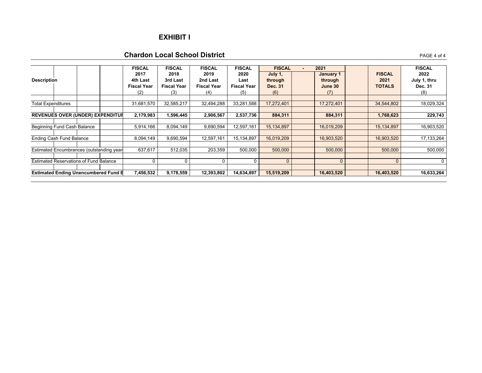### **EXHIBIT I**

### **Chardon Local School District**

| <b>Description</b>              |                                               | <b>FISCAL</b><br>2017<br>4th Last<br><b>Fiscal Year</b><br>(2) | <b>FISCAL</b><br>2018<br>3rd Last<br><b>Fiscal Year</b><br>(3) | <b>FISCAL</b><br>2019<br>2nd Last<br><b>Fiscal Year</b><br>(4) | <b>FISCAL</b><br>2020<br>Last<br><b>Fiscal Year</b><br>(5) | <b>FISCAL</b><br>July 1,<br>through<br>Dec. 31<br>(6) | 2021 | January 1<br>through<br>June 30<br>(7) | <b>FISCAL</b><br>2021<br><b>TOTALS</b> | <b>FISCAL</b><br>2022<br>July 1, thru<br>Dec. 31<br>(8) |
|---------------------------------|-----------------------------------------------|----------------------------------------------------------------|----------------------------------------------------------------|----------------------------------------------------------------|------------------------------------------------------------|-------------------------------------------------------|------|----------------------------------------|----------------------------------------|---------------------------------------------------------|
| <b>Total Expenditures</b>       |                                               | 31,681,570                                                     | 32,585,217                                                     | 32,494,288                                                     | 33,281,588                                                 | 17,272,401                                            |      | 17,272,401                             | 34,544,802                             | 18,029,324                                              |
|                                 | <b>REVENUES OVER (UNDER) EXPENDITUR</b>       | 2,179,983                                                      | 1,596,445                                                      | 2,906,567                                                      | 2,537,736                                                  | 884,311                                               |      | 884,311                                | 1,768,623                              | 229,743                                                 |
|                                 | Beginning Fund Cash Balance                   | 5,914,166                                                      | 8,094,149                                                      | 9,690,594                                                      | 12,597,161                                                 | 15,134,897                                            |      | 16,019,209                             | 15,134,897                             | 16,903,520                                              |
| <b>Ending Cash Fund Balance</b> |                                               | 8,094,149                                                      | 9,690,594                                                      | 12,597,161                                                     | 15,134,897                                                 | 16,019,209                                            |      | 16,903,520                             | 16,903,520                             | 17,133,264                                              |
|                                 | Estimated Encumbrances (outstanding year      | 637,617                                                        | 512,035                                                        | 203,359                                                        | 500,000                                                    | 500,000                                               |      | 500,000                                | 500,000                                | 500,000                                                 |
|                                 | <b>Estimated Reservations of Fund Balance</b> |                                                                |                                                                | 0                                                              | 0                                                          | $\Omega$                                              |      |                                        | $\Omega$                               | 0                                                       |
|                                 | <b>Estimated Ending Unencumbered Fund B</b>   | 7,456,532                                                      | 9,178,559                                                      | 12,393,802                                                     | 14,634,897                                                 | 15,519,209                                            |      | 16,403,520                             | 16,403,520                             | 16,633,264                                              |

**T**  $\blacksquare$